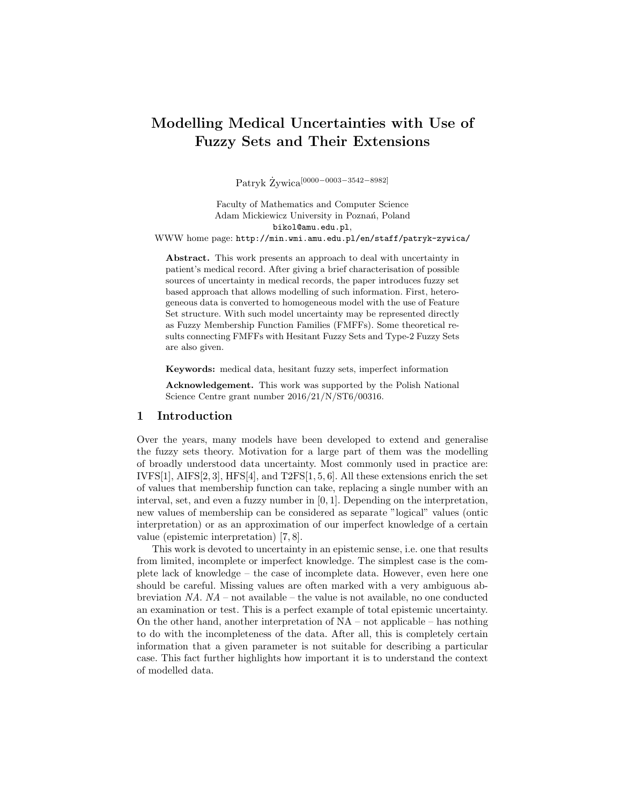# Modelling Medical Uncertainties with Use of Fuzzy Sets and Their Extensions

Patryk Żywica<sup>[0000–0003–3542–8982]</sup>

Faculty of Mathematics and Computer Science Adam Mickiewicz University in Poznań, Poland bikol@amu.edu.pl, WWW home page: http://min.wmi.amu.edu.pl/en/staff/patryk-zywica/

Abstract. This work presents an approach to deal with uncertainty in patient's medical record. After giving a brief characterisation of possible sources of uncertainty in medical records, the paper introduces fuzzy set based approach that allows modelling of such information. First, heterogeneous data is converted to homogeneous model with the use of Feature Set structure. With such model uncertainty may be represented directly as Fuzzy Membership Function Families (FMFFs). Some theoretical results connecting FMFFs with Hesitant Fuzzy Sets and Type-2 Fuzzy Sets are also given.

Keywords: medical data, hesitant fuzzy sets, imperfect information

Acknowledgement. This work was supported by the Polish National Science Centre grant number 2016/21/N/ST6/00316.

# 1 Introduction

Over the years, many models have been developed to extend and generalise the fuzzy sets theory. Motivation for a large part of them was the modelling of broadly understood data uncertainty. Most commonly used in practice are: IVFS[1], AIFS[2, 3], HFS[4], and T2FS[1, 5, 6]. All these extensions enrich the set of values that membership function can take, replacing a single number with an interval, set, and even a fuzzy number in [0, 1]. Depending on the interpretation, new values of membership can be considered as separate "logical" values (ontic interpretation) or as an approximation of our imperfect knowledge of a certain value (epistemic interpretation) [7, 8].

This work is devoted to uncertainty in an epistemic sense, i.e. one that results from limited, incomplete or imperfect knowledge. The simplest case is the complete lack of knowledge – the case of incomplete data. However, even here one should be careful. Missing values are often marked with a very ambiguous abbreviation  $NA$ .  $NA$  – not available – the value is not available, no one conducted an examination or test. This is a perfect example of total epistemic uncertainty. On the other hand, another interpretation of  $NA$  – not applicable – has nothing to do with the incompleteness of the data. After all, this is completely certain information that a given parameter is not suitable for describing a particular case. This fact further highlights how important it is to understand the context of modelled data.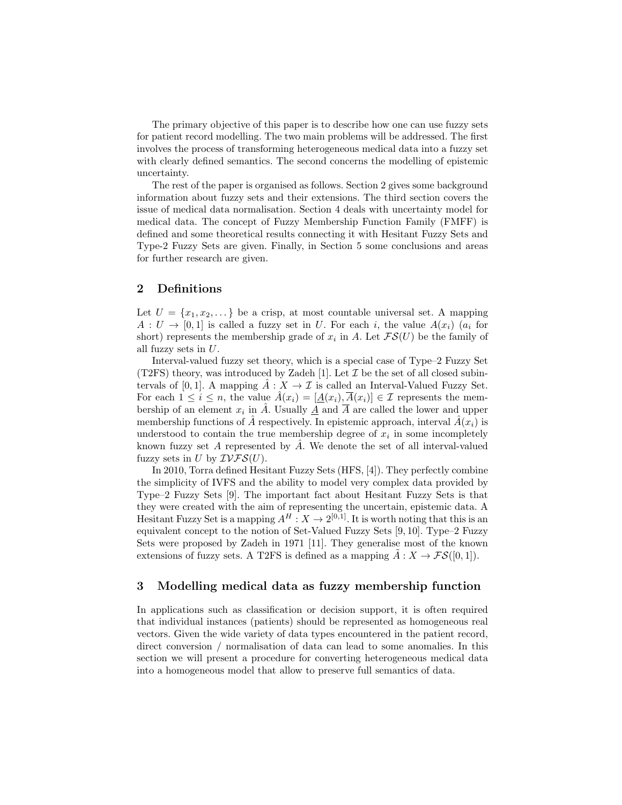The primary objective of this paper is to describe how one can use fuzzy sets for patient record modelling. The two main problems will be addressed. The first involves the process of transforming heterogeneous medical data into a fuzzy set with clearly defined semantics. The second concerns the modelling of epistemic uncertainty.

The rest of the paper is organised as follows. Section 2 gives some background information about fuzzy sets and their extensions. The third section covers the issue of medical data normalisation. Section 4 deals with uncertainty model for medical data. The concept of Fuzzy Membership Function Family (FMFF) is defined and some theoretical results connecting it with Hesitant Fuzzy Sets and Type-2 Fuzzy Sets are given. Finally, in Section 5 some conclusions and areas for further research are given.

### 2 Definitions

Let  $U = \{x_1, x_2, \dots\}$  be a crisp, at most countable universal set. A mapping  $A: U \to [0,1]$  is called a fuzzy set in U. For each i, the value  $A(x_i)$  ( $a_i$  for short) represents the membership grade of  $x_i$  in A. Let  $\mathcal{FS}(U)$  be the family of all fuzzy sets in U.

Interval-valued fuzzy set theory, which is a special case of Type–2 Fuzzy Set (T2FS) theory, was introduced by Zadeh [1]. Let  $\mathcal I$  be the set of all closed subintervals of [0, 1]. A mapping  $\hat{A}: X \to \mathcal{I}$  is called an Interval-Valued Fuzzy Set. For each  $1 \leq i \leq n$ , the value  $\hat{A}(x_i) = [\underline{A}(x_i), \overline{A}(x_i)] \in \mathcal{I}$  represents the membership of an element  $x_i$  in  $\hat{A}$ . Usually  $\underline{A}$  and  $\overline{A}$  are called the lower and upper membership functions of A respectively. In epistemic approach, interval  $\tilde{A}(x_i)$  is understood to contain the true membership degree of  $x_i$  in some incompletely known fuzzy set A represented by  $\hat{A}$ . We denote the set of all interval-valued fuzzy sets in U by  $\mathcal{IVFS}(U)$ .

In 2010, Torra defined Hesitant Fuzzy Sets (HFS, [4]). They perfectly combine the simplicity of IVFS and the ability to model very complex data provided by Type–2 Fuzzy Sets [9]. The important fact about Hesitant Fuzzy Sets is that they were created with the aim of representing the uncertain, epistemic data. A Hesitant Fuzzy Set is a mapping  $A^H: X \to 2^{[0,1]}$ . It is worth noting that this is an equivalent concept to the notion of Set-Valued Fuzzy Sets [9, 10]. Type–2 Fuzzy Sets were proposed by Zadeh in 1971 [11]. They generalise most of the known extensions of fuzzy sets. A T2FS is defined as a mapping  $A: X \to \mathcal{FS}([0,1])$ .

## 3 Modelling medical data as fuzzy membership function

In applications such as classification or decision support, it is often required that individual instances (patients) should be represented as homogeneous real vectors. Given the wide variety of data types encountered in the patient record, direct conversion / normalisation of data can lead to some anomalies. In this section we will present a procedure for converting heterogeneous medical data into a homogeneous model that allow to preserve full semantics of data.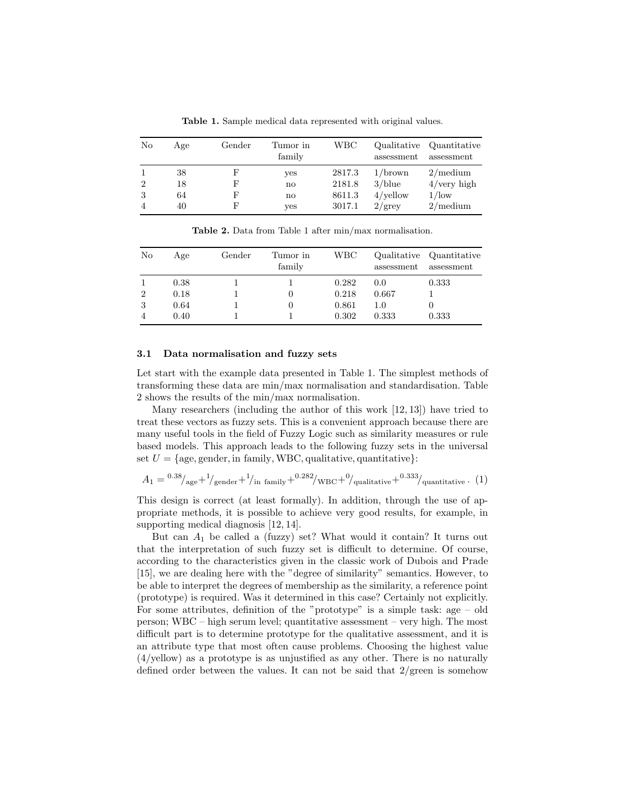| No             | Age | Gender | Tumor in<br>family | WBC    | assessment      | Qualitative Quantitative<br>assessment |
|----------------|-----|--------|--------------------|--------|-----------------|----------------------------------------|
|                | 38  | F      | yes                | 2817.3 | 1/brown         | $2/$ medium                            |
| $\overline{2}$ | 18  | F      | $\mathbf{n}$       | 2181.8 | $3/b$ lue       | $4/very$ high                          |
| 3              | 64  | F      | no                 | 8611.3 | $4$ /yellow     | $1/$ low                               |
|                | 40  | F      | yes                | 3017.1 | $2/\text{grey}$ | $2/$ medium                            |

Table 1. Sample medical data represented with original values.

Table 2. Data from Table 1 after min/max normalisation.

| No             | Age  | Gender | Tumor in<br>family | WBC   | assessment | Qualitative Quantitative<br>assessment |
|----------------|------|--------|--------------------|-------|------------|----------------------------------------|
|                | 0.38 |        |                    | 0.282 | 0.0        | 0.333                                  |
| $\overline{2}$ | 0.18 |        |                    | 0.218 | 0.667      |                                        |
| 3              | 0.64 |        |                    | 0.861 | 1.0        |                                        |
| $\overline{4}$ | 0.40 |        |                    | 0.302 | 0.333      | 0.333                                  |

#### 3.1 Data normalisation and fuzzy sets

Let start with the example data presented in Table 1. The simplest methods of transforming these data are min/max normalisation and standardisation. Table 2 shows the results of the min/max normalisation.

Many researchers (including the author of this work [12, 13]) have tried to treat these vectors as fuzzy sets. This is a convenient approach because there are many useful tools in the field of Fuzzy Logic such as similarity measures or rule based models. This approach leads to the following fuzzy sets in the universal set  $U = \{ \text{age}, \text{gender}, \text{in family}, \text{WBC}, \text{qualitative}, \text{quantitative} \}.$ 

$$
A_1 = {}^{0.38}/_{\text{age}} + {}^{1}/_{\text{gender}} + {}^{1}/_{\text{in family}} + {}^{0.282}/_{\text{WBC}} + {}^{0}/_{\text{qualitative}} + {}^{0.333}/_{\text{quantitative}}.
$$
 (1)

This design is correct (at least formally). In addition, through the use of appropriate methods, it is possible to achieve very good results, for example, in supporting medical diagnosis [12, 14].

But can  $A_1$  be called a (fuzzy) set? What would it contain? It turns out that the interpretation of such fuzzy set is difficult to determine. Of course, according to the characteristics given in the classic work of Dubois and Prade [15], we are dealing here with the "degree of similarity" semantics. However, to be able to interpret the degrees of membership as the similarity, a reference point (prototype) is required. Was it determined in this case? Certainly not explicitly. For some attributes, definition of the "prototype" is a simple task: age – old person; WBC – high serum level; quantitative assessment – very high. The most difficult part is to determine prototype for the qualitative assessment, and it is an attribute type that most often cause problems. Choosing the highest value (4/yellow) as a prototype is as unjustified as any other. There is no naturally defined order between the values. It can not be said that 2/green is somehow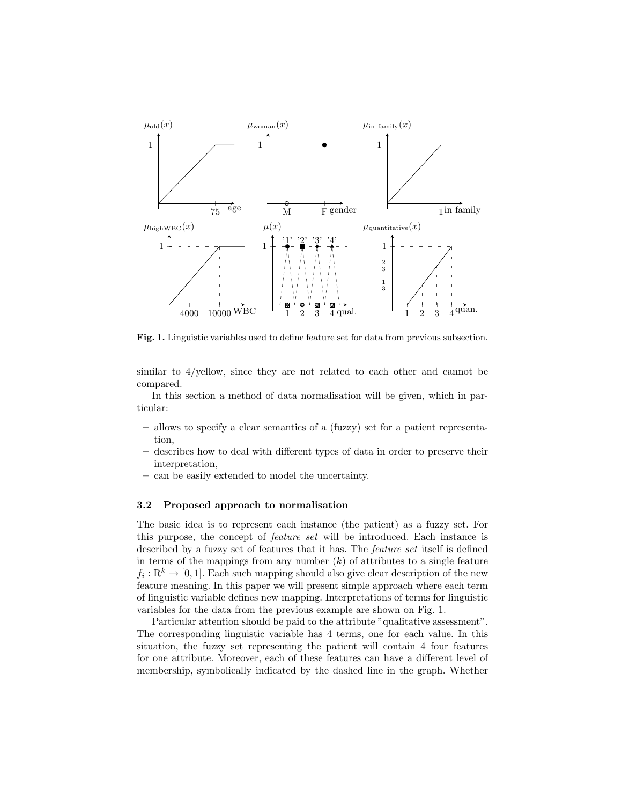

Fig. 1. Linguistic variables used to define feature set for data from previous subsection.

similar to 4/yellow, since they are not related to each other and cannot be compared.

In this section a method of data normalisation will be given, which in particular:

- allows to specify a clear semantics of a (fuzzy) set for a patient representation,
- describes how to deal with different types of data in order to preserve their interpretation,
- can be easily extended to model the uncertainty.

#### 3.2 Proposed approach to normalisation

The basic idea is to represent each instance (the patient) as a fuzzy set. For this purpose, the concept of feature set will be introduced. Each instance is described by a fuzzy set of features that it has. The feature set itself is defined in terms of the mappings from any number  $(k)$  of attributes to a single feature  $f_i: \mathbb{R}^k \to [0, 1]$ . Each such mapping should also give clear description of the new feature meaning. In this paper we will present simple approach where each term of linguistic variable defines new mapping. Interpretations of terms for linguistic variables for the data from the previous example are shown on Fig. 1.

Particular attention should be paid to the attribute "qualitative assessment". The corresponding linguistic variable has 4 terms, one for each value. In this situation, the fuzzy set representing the patient will contain 4 four features for one attribute. Moreover, each of these features can have a different level of membership, symbolically indicated by the dashed line in the graph. Whether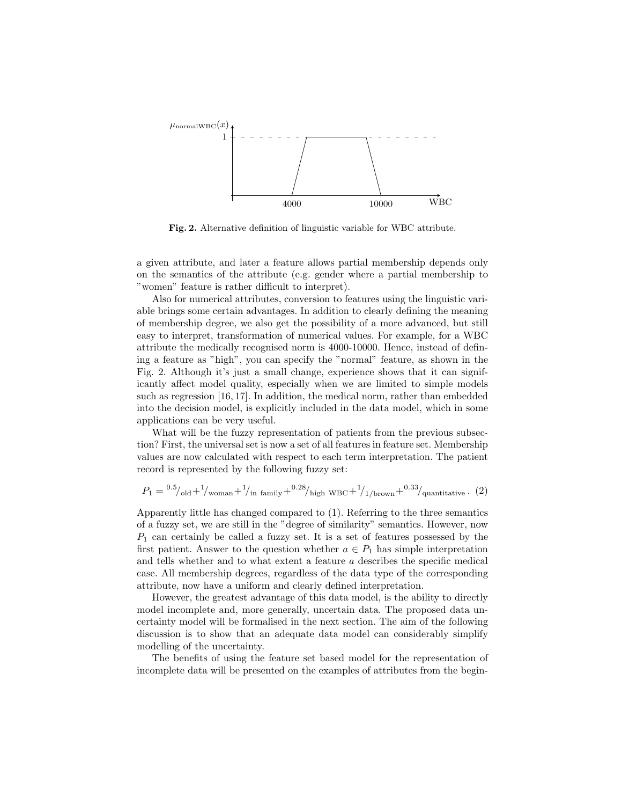

Fig. 2. Alternative definition of linguistic variable for WBC attribute.

a given attribute, and later a feature allows partial membership depends only on the semantics of the attribute (e.g. gender where a partial membership to "women" feature is rather difficult to interpret).

Also for numerical attributes, conversion to features using the linguistic variable brings some certain advantages. In addition to clearly defining the meaning of membership degree, we also get the possibility of a more advanced, but still easy to interpret, transformation of numerical values. For example, for a WBC attribute the medically recognised norm is 4000-10000. Hence, instead of defining a feature as "high", you can specify the "normal" feature, as shown in the Fig. 2. Although it's just a small change, experience shows that it can significantly affect model quality, especially when we are limited to simple models such as regression [16, 17]. In addition, the medical norm, rather than embedded into the decision model, is explicitly included in the data model, which in some applications can be very useful.

What will be the fuzzy representation of patients from the previous subsection? First, the universal set is now a set of all features in feature set. Membership values are now calculated with respect to each term interpretation. The patient record is represented by the following fuzzy set:

$$
P_1 = {}^{0.5}/_{\text{old}} + {}^{1}/_{\text{woman}} + {}^{1}/_{\text{in family}} + {}^{0.28}/_{\text{high WBC}} + {}^{1}/_{1/\text{brown}} + {}^{0.33}/_{\text{quantitative}}.
$$
 (2)

Apparently little has changed compared to (1). Referring to the three semantics of a fuzzy set, we are still in the "degree of similarity" semantics. However, now  $P_1$  can certainly be called a fuzzy set. It is a set of features possessed by the first patient. Answer to the question whether  $a \in P_1$  has simple interpretation and tells whether and to what extent a feature  $a$  describes the specific medical case. All membership degrees, regardless of the data type of the corresponding attribute, now have a uniform and clearly defined interpretation.

However, the greatest advantage of this data model, is the ability to directly model incomplete and, more generally, uncertain data. The proposed data uncertainty model will be formalised in the next section. The aim of the following discussion is to show that an adequate data model can considerably simplify modelling of the uncertainty.

The benefits of using the feature set based model for the representation of incomplete data will be presented on the examples of attributes from the begin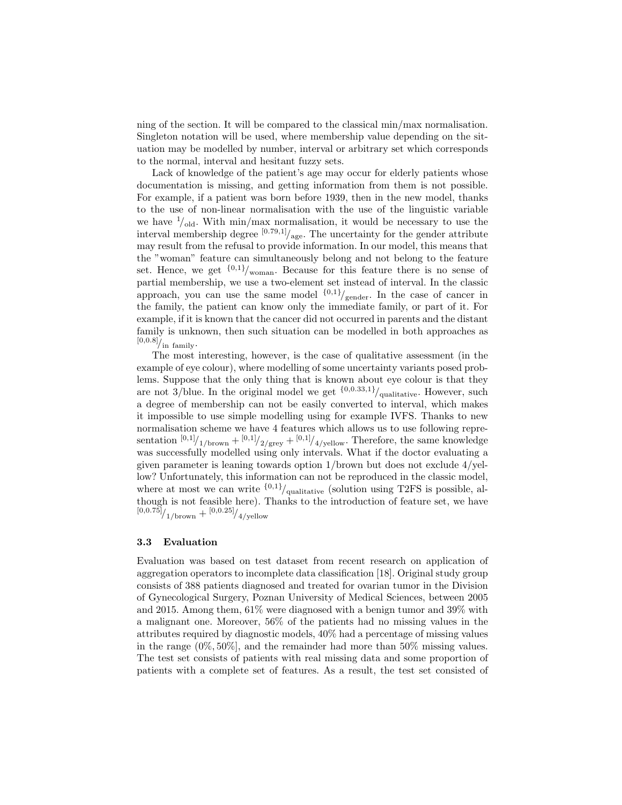ning of the section. It will be compared to the classical min/max normalisation. Singleton notation will be used, where membership value depending on the situation may be modelled by number, interval or arbitrary set which corresponds to the normal, interval and hesitant fuzzy sets.

Lack of knowledge of the patient's age may occur for elderly patients whose documentation is missing, and getting information from them is not possible. For example, if a patient was born before 1939, then in the new model, thanks to the use of non-linear normalisation with the use of the linguistic variable we have  $\frac{1}{\text{old}}$ . With min/max normalisation, it would be necessary to use the interval membership degree  $[0.79,1]$ <sub>age</sub>. The uncertainty for the gender attribute may result from the refusal to provide information. In our model, this means that the "woman" feature can simultaneously belong and not belong to the feature set. Hence, we get  $\{0,1\}'$  woman. Because for this feature there is no sense of partial membership, we use a two-element set instead of interval. In the classic partial includes largely, we use a the same model  $\{0,1\}/\text{gender}$ . In the case of cancer in the family, the patient can know only the immediate family, or part of it. For example, if it is known that the cancer did not occurred in parents and the distant family is unknown, then such situation can be modelled in both approaches as  $^{[0,0.8]}/_{\rm in~family}.$ 

The most interesting, however, is the case of qualitative assessment (in the example of eye colour), where modelling of some uncertainty variants posed problems. Suppose that the only thing that is known about eye colour is that they are not 3/blue. In the original model we get  $\{0,0.33,1\}$  qualitative. However, such a degree of membership can not be easily converted to interval, which makes it impossible to use simple modelling using for example IVFS. Thanks to new normalisation scheme we have 4 features which allows us to use following representation  ${}^{[0,1]}/_{1/\text{brown}} + {}^{[0,1]}/_{2/\text{grey}} + {}^{[0,1]}/_{4/\text{yellow}}$ . Therefore, the same knowledge was successfully modelled using only intervals. What if the doctor evaluating a given parameter is leaning towards option 1/brown but does not exclude 4/yellow? Unfortunately, this information can not be reproduced in the classic model, where at most we can write  ${0,1}$ /<sub>qualitative</sub> (solution using T2FS is possible, although is not feasible here). Thanks to the introduction of feature set, we have  $\frac{[0,0.75]}{1/\text{brown}} + \frac{[0,0.25]}{4/\text{yellow}}$ 

### 3.3 Evaluation

Evaluation was based on test dataset from recent research on application of aggregation operators to incomplete data classification [18]. Original study group consists of 388 patients diagnosed and treated for ovarian tumor in the Division of Gynecological Surgery, Poznan University of Medical Sciences, between 2005 and 2015. Among them, 61% were diagnosed with a benign tumor and 39% with a malignant one. Moreover, 56% of the patients had no missing values in the attributes required by diagnostic models, 40% had a percentage of missing values in the range  $(0\%, 50\%)$ , and the remainder had more than 50% missing values. The test set consists of patients with real missing data and some proportion of patients with a complete set of features. As a result, the test set consisted of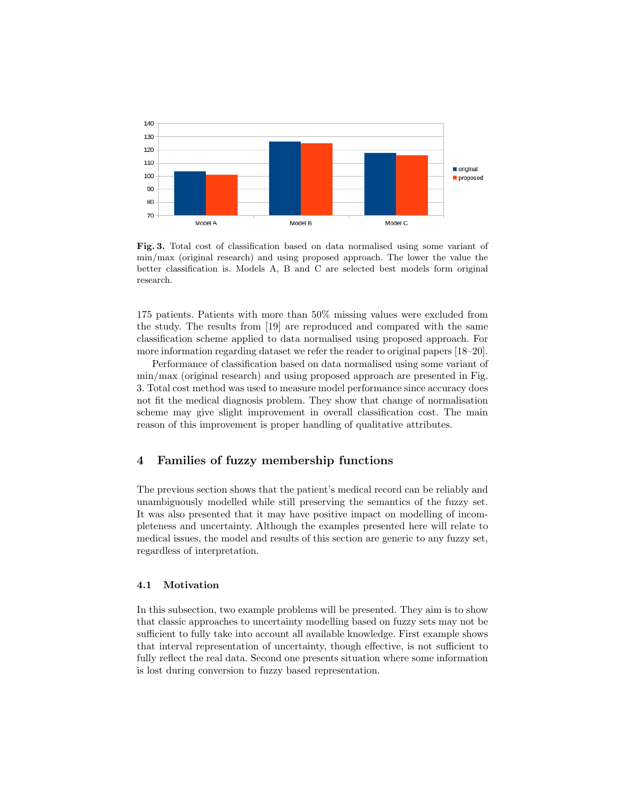

Fig. 3. Total cost of classification based on data normalised using some variant of min/max (original research) and using proposed approach. The lower the value the better classification is. Models A, B and C are selected best models form original research.

175 patients. Patients with more than 50% missing values were excluded from the study. The results from [19] are reproduced and compared with the same classification scheme applied to data normalised using proposed approach. For more information regarding dataset we refer the reader to original papers [18–20].

Performance of classification based on data normalised using some variant of min/max (original research) and using proposed approach are presented in Fig. 3. Total cost method was used to measure model performance since accuracy does not fit the medical diagnosis problem. They show that change of normalisation scheme may give slight improvement in overall classification cost. The main reason of this improvement is proper handling of qualitative attributes.

# 4 Families of fuzzy membership functions

The previous section shows that the patient's medical record can be reliably and unambiguously modelled while still preserving the semantics of the fuzzy set. It was also presented that it may have positive impact on modelling of incompleteness and uncertainty. Although the examples presented here will relate to medical issues, the model and results of this section are generic to any fuzzy set, regardless of interpretation.

### 4.1 Motivation

In this subsection, two example problems will be presented. They aim is to show that classic approaches to uncertainty modelling based on fuzzy sets may not be sufficient to fully take into account all available knowledge. First example shows that interval representation of uncertainty, though effective, is not sufficient to fully reflect the real data. Second one presents situation where some information is lost during conversion to fuzzy based representation.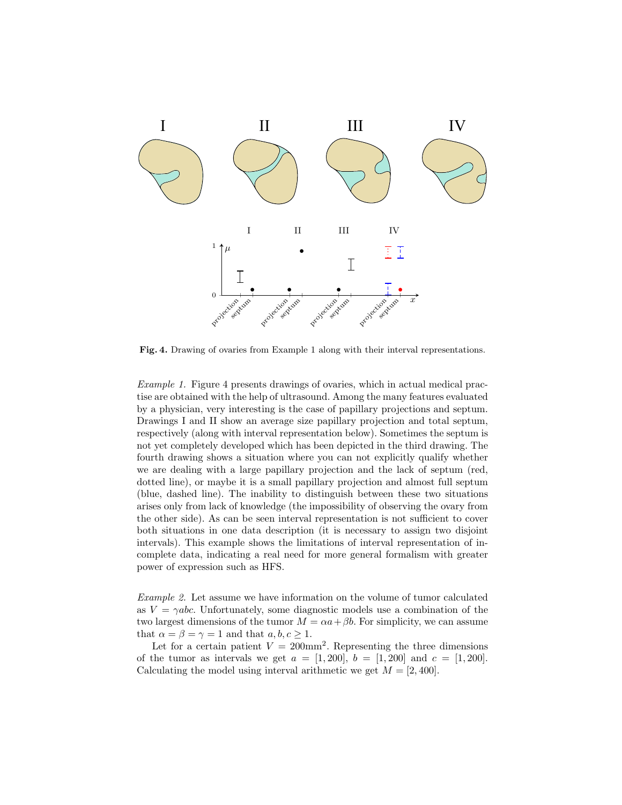

Fig. 4. Drawing of ovaries from Example 1 along with their interval representations.

Example 1. Figure 4 presents drawings of ovaries, which in actual medical practise are obtained with the help of ultrasound. Among the many features evaluated by a physician, very interesting is the case of papillary projections and septum. Drawings I and II show an average size papillary projection and total septum, respectively (along with interval representation below). Sometimes the septum is not yet completely developed which has been depicted in the third drawing. The fourth drawing shows a situation where you can not explicitly qualify whether we are dealing with a large papillary projection and the lack of septum (red, dotted line), or maybe it is a small papillary projection and almost full septum (blue, dashed line). The inability to distinguish between these two situations arises only from lack of knowledge (the impossibility of observing the ovary from the other side). As can be seen interval representation is not sufficient to cover both situations in one data description (it is necessary to assign two disjoint intervals). This example shows the limitations of interval representation of incomplete data, indicating a real need for more general formalism with greater power of expression such as HFS.

Example 2. Let assume we have information on the volume of tumor calculated as  $V = \gamma abc$ . Unfortunately, some diagnostic models use a combination of the two largest dimensions of the tumor  $M = \alpha a + \beta b$ . For simplicity, we can assume that  $\alpha = \beta = \gamma = 1$  and that  $a, b, c > 1$ .

Let for a certain patient  $V = 200$ mm<sup>2</sup>. Representing the three dimensions of the tumor as intervals we get  $a = [1, 200], b = [1, 200]$  and  $c = [1, 200]$ . Calculating the model using interval arithmetic we get  $M = [2, 400]$ .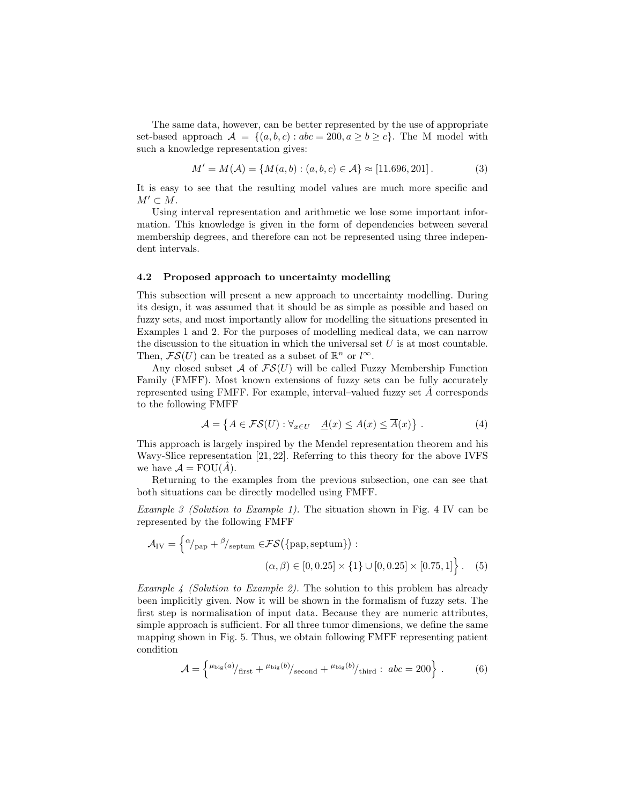The same data, however, can be better represented by the use of appropriate set-based approach  $\mathcal{A} = \{(a, b, c) : abc = 200, a \ge b \ge c\}$ . The M model with such a knowledge representation gives:

$$
M' = M(\mathcal{A}) = \{ M(a, b) : (a, b, c) \in \mathcal{A} \} \approx [11.696, 201].
$$
 (3)

It is easy to see that the resulting model values are much more specific and  $M' \subset M$ .

Using interval representation and arithmetic we lose some important information. This knowledge is given in the form of dependencies between several membership degrees, and therefore can not be represented using three independent intervals.

### 4.2 Proposed approach to uncertainty modelling

This subsection will present a new approach to uncertainty modelling. During its design, it was assumed that it should be as simple as possible and based on fuzzy sets, and most importantly allow for modelling the situations presented in Examples 1 and 2. For the purposes of modelling medical data, we can narrow the discussion to the situation in which the universal set  $U$  is at most countable. Then,  $\mathcal{FS}(U)$  can be treated as a subset of  $\mathbb{R}^n$  or  $l^{\infty}$ .

Any closed subset  $A$  of  $FS(U)$  will be called Fuzzy Membership Function Family (FMFF). Most known extensions of fuzzy sets can be fully accurately represented using FMFF. For example, interval–valued fuzzy set  $\vec{A}$  corresponds to the following FMFF

$$
\mathcal{A} = \left\{ A \in \mathcal{FS}(U) : \forall_{x \in U} \quad \underline{A}(x) \le A(x) \le \overline{A}(x) \right\}.
$$
 (4)

This approach is largely inspired by the Mendel representation theorem and his Wavy-Slice representation [21, 22]. Referring to this theory for the above IVFS we have  $\mathcal{A} = \text{FOU}(\hat{A})$ .

Returning to the examples from the previous subsection, one can see that both situations can be directly modelled using FMFF.

Example 3 (Solution to Example 1). The situation shown in Fig. 4 IV can be represented by the following FMFF

$$
\mathcal{A}_{\text{IV}} = \left\{ \alpha_{\text{pap}} + \beta_{\text{septum}} \in \mathcal{FS}(\{\text{pap}, \text{septum}\}) : \n(\alpha, \beta) \in [0, 0.25] \times \{1\} \cup [0, 0.25] \times [0.75, 1] \right\}. \quad (5)
$$

Example 4 (Solution to Example 2). The solution to this problem has already been implicitly given. Now it will be shown in the formalism of fuzzy sets. The first step is normalisation of input data. Because they are numeric attributes, simple approach is sufficient. For all three tumor dimensions, we define the same mapping shown in Fig. 5. Thus, we obtain following FMFF representing patient condition

$$
\mathcal{A} = \left\{ \mu_{\text{big}}(a) /_{\text{first}} + \mu_{\text{big}}(b) /_{\text{second}} + \mu_{\text{big}}(b) /_{\text{third}} : abc = 200 \right\}.
$$
 (6)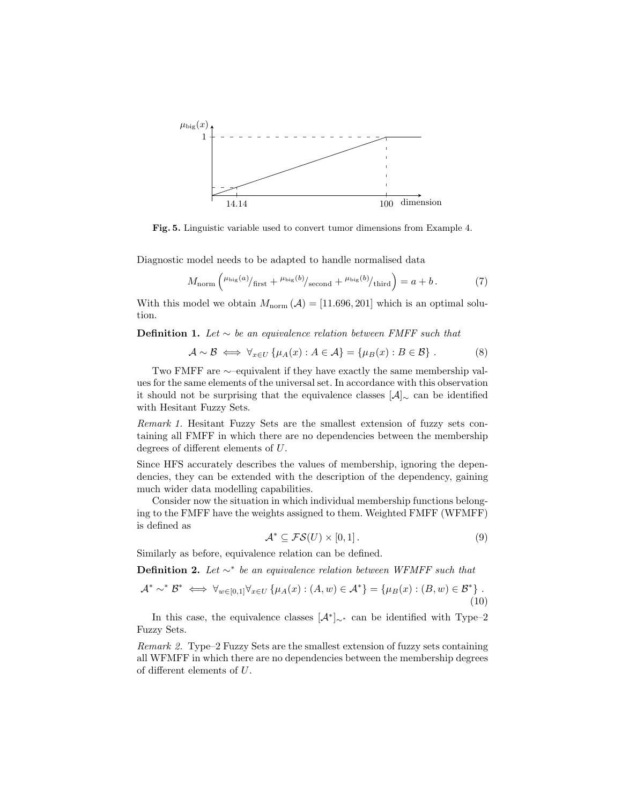

Fig. 5. Linguistic variable used to convert tumor dimensions from Example 4.

Diagnostic model needs to be adapted to handle normalised data

$$
M_{\text{norm}}\left(\mu_{\text{big}}(a)_{\text{first}} + \mu_{\text{big}}(b)_{\text{second}} + \mu_{\text{big}}(b)_{\text{third}}\right) = a + b. \tag{7}
$$

With this model we obtain  $M_{\text{norm}}(\mathcal{A}) = [11.696, 201]$  which is an optimal solution.

### **Definition 1.** Let  $\sim$  be an equivalence relation between FMFF such that

$$
\mathcal{A} \sim \mathcal{B} \iff \forall_{x \in U} \left\{ \mu_A(x) : A \in \mathcal{A} \right\} = \left\{ \mu_B(x) : B \in \mathcal{B} \right\} . \tag{8}
$$

Two FMFF are ∼–equivalent if they have exactly the same membership values for the same elements of the universal set. In accordance with this observation it should not be surprising that the equivalence classes [A]<sup>∼</sup> can be identified with Hesitant Fuzzy Sets.

Remark 1. Hesitant Fuzzy Sets are the smallest extension of fuzzy sets containing all FMFF in which there are no dependencies between the membership degrees of different elements of U.

Since HFS accurately describes the values of membership, ignoring the dependencies, they can be extended with the description of the dependency, gaining much wider data modelling capabilities.

Consider now the situation in which individual membership functions belonging to the FMFF have the weights assigned to them. Weighted FMFF (WFMFF) is defined as

$$
\mathcal{A}^* \subseteq \mathcal{FS}(U) \times [0,1]. \tag{9}
$$

Similarly as before, equivalence relation can be defined.

**Definition 2.** Let  $\sim^*$  be an equivalence relation between WFMFF such that

$$
\mathcal{A}^* \sim^* \mathcal{B}^* \iff \forall_{w \in [0,1]} \forall_{x \in U} \left\{ \mu_A(x) : (A, w) \in \mathcal{A}^* \right\} = \left\{ \mu_B(x) : (B, w) \in \mathcal{B}^* \right\}.
$$
\n(10)

In this case, the equivalence classes  $[\mathcal{A}^*]_{\sim^*}$  can be identified with Type–2 Fuzzy Sets.

Remark 2. Type–2 Fuzzy Sets are the smallest extension of fuzzy sets containing all WFMFF in which there are no dependencies between the membership degrees of different elements of U.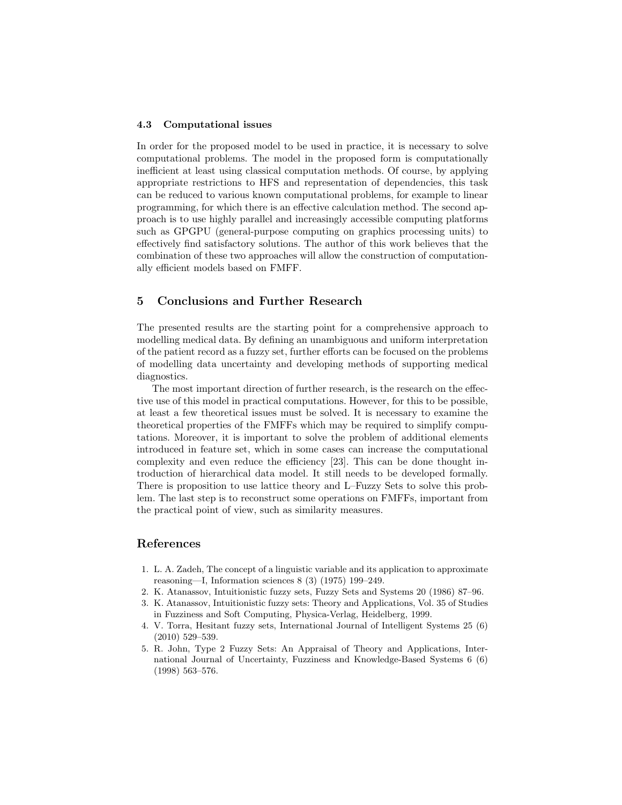#### 4.3 Computational issues

In order for the proposed model to be used in practice, it is necessary to solve computational problems. The model in the proposed form is computationally inefficient at least using classical computation methods. Of course, by applying appropriate restrictions to HFS and representation of dependencies, this task can be reduced to various known computational problems, for example to linear programming, for which there is an effective calculation method. The second approach is to use highly parallel and increasingly accessible computing platforms such as GPGPU (general-purpose computing on graphics processing units) to effectively find satisfactory solutions. The author of this work believes that the combination of these two approaches will allow the construction of computationally efficient models based on FMFF.

# 5 Conclusions and Further Research

The presented results are the starting point for a comprehensive approach to modelling medical data. By defining an unambiguous and uniform interpretation of the patient record as a fuzzy set, further efforts can be focused on the problems of modelling data uncertainty and developing methods of supporting medical diagnostics.

The most important direction of further research, is the research on the effective use of this model in practical computations. However, for this to be possible, at least a few theoretical issues must be solved. It is necessary to examine the theoretical properties of the FMFFs which may be required to simplify computations. Moreover, it is important to solve the problem of additional elements introduced in feature set, which in some cases can increase the computational complexity and even reduce the efficiency [23]. This can be done thought introduction of hierarchical data model. It still needs to be developed formally. There is proposition to use lattice theory and L–Fuzzy Sets to solve this problem. The last step is to reconstruct some operations on FMFFs, important from the practical point of view, such as similarity measures.

# References

- 1. L. A. Zadeh, The concept of a linguistic variable and its application to approximate reasoning—I, Information sciences 8 (3) (1975) 199–249.
- 2. K. Atanassov, Intuitionistic fuzzy sets, Fuzzy Sets and Systems 20 (1986) 87–96.
- 3. K. Atanassov, Intuitionistic fuzzy sets: Theory and Applications, Vol. 35 of Studies in Fuzziness and Soft Computing, Physica-Verlag, Heidelberg, 1999.
- 4. V. Torra, Hesitant fuzzy sets, International Journal of Intelligent Systems 25 (6) (2010) 529–539.
- 5. R. John, Type 2 Fuzzy Sets: An Appraisal of Theory and Applications, International Journal of Uncertainty, Fuzziness and Knowledge-Based Systems 6 (6) (1998) 563–576.